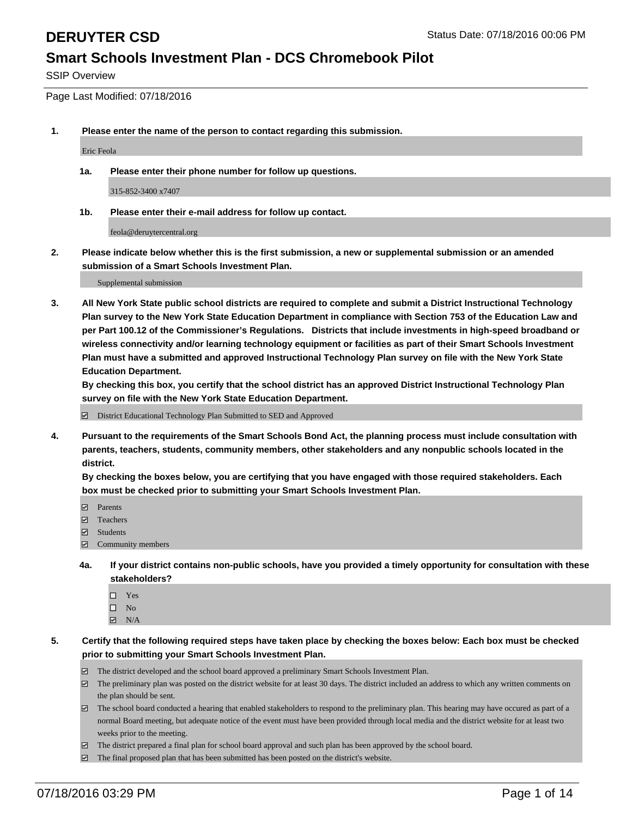SSIP Overview

Page Last Modified: 07/18/2016

**1. Please enter the name of the person to contact regarding this submission.**

Eric Feola

**1a. Please enter their phone number for follow up questions.**

315-852-3400 x7407

**1b. Please enter their e-mail address for follow up contact.**

feola@deruytercentral.org

**2. Please indicate below whether this is the first submission, a new or supplemental submission or an amended submission of a Smart Schools Investment Plan.**

Supplemental submission

**3. All New York State public school districts are required to complete and submit a District Instructional Technology Plan survey to the New York State Education Department in compliance with Section 753 of the Education Law and per Part 100.12 of the Commissioner's Regulations. Districts that include investments in high-speed broadband or wireless connectivity and/or learning technology equipment or facilities as part of their Smart Schools Investment Plan must have a submitted and approved Instructional Technology Plan survey on file with the New York State Education Department.** 

**By checking this box, you certify that the school district has an approved District Instructional Technology Plan survey on file with the New York State Education Department.**

District Educational Technology Plan Submitted to SED and Approved

**4. Pursuant to the requirements of the Smart Schools Bond Act, the planning process must include consultation with parents, teachers, students, community members, other stakeholders and any nonpublic schools located in the district.** 

**By checking the boxes below, you are certifying that you have engaged with those required stakeholders. Each box must be checked prior to submitting your Smart Schools Investment Plan.**

- **Parents**
- Teachers
- $\blacksquare$  Students
- Community members
- **4a. If your district contains non-public schools, have you provided a timely opportunity for consultation with these stakeholders?**
	- $\Box$  Yes  $\square$  No
	- $\boxtimes$  N/A
- **5. Certify that the following required steps have taken place by checking the boxes below: Each box must be checked prior to submitting your Smart Schools Investment Plan.**
	- The district developed and the school board approved a preliminary Smart Schools Investment Plan.
	- $\boxdot$  The preliminary plan was posted on the district website for at least 30 days. The district included an address to which any written comments on the plan should be sent.
	- $\Box$  The school board conducted a hearing that enabled stakeholders to respond to the preliminary plan. This hearing may have occured as part of a normal Board meeting, but adequate notice of the event must have been provided through local media and the district website for at least two weeks prior to the meeting.
	- The district prepared a final plan for school board approval and such plan has been approved by the school board.
	- $\boxdot$  The final proposed plan that has been submitted has been posted on the district's website.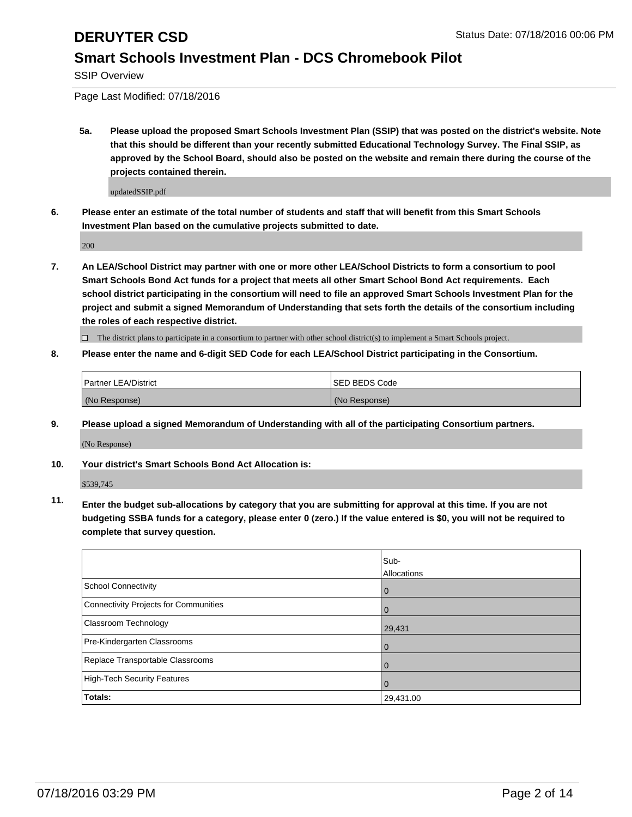SSIP Overview

Page Last Modified: 07/18/2016

**5a. Please upload the proposed Smart Schools Investment Plan (SSIP) that was posted on the district's website. Note that this should be different than your recently submitted Educational Technology Survey. The Final SSIP, as approved by the School Board, should also be posted on the website and remain there during the course of the projects contained therein.**

updatedSSIP.pdf

**6. Please enter an estimate of the total number of students and staff that will benefit from this Smart Schools Investment Plan based on the cumulative projects submitted to date.**

200

**7. An LEA/School District may partner with one or more other LEA/School Districts to form a consortium to pool Smart Schools Bond Act funds for a project that meets all other Smart School Bond Act requirements. Each school district participating in the consortium will need to file an approved Smart Schools Investment Plan for the project and submit a signed Memorandum of Understanding that sets forth the details of the consortium including the roles of each respective district.**

 $\Box$  The district plans to participate in a consortium to partner with other school district(s) to implement a Smart Schools project.

### **8. Please enter the name and 6-digit SED Code for each LEA/School District participating in the Consortium.**

| <b>Partner LEA/District</b> | <b>ISED BEDS Code</b> |
|-----------------------------|-----------------------|
| (No Response)               | (No Response)         |

**9. Please upload a signed Memorandum of Understanding with all of the participating Consortium partners.**

(No Response)

**10. Your district's Smart Schools Bond Act Allocation is:**

\$539,745

**11. Enter the budget sub-allocations by category that you are submitting for approval at this time. If you are not budgeting SSBA funds for a category, please enter 0 (zero.) If the value entered is \$0, you will not be required to complete that survey question.**

|                                       | Sub-<br>Allocations |
|---------------------------------------|---------------------|
| <b>School Connectivity</b>            | 0                   |
| Connectivity Projects for Communities | 0                   |
| Classroom Technology                  | 29,431              |
| Pre-Kindergarten Classrooms           | $\Omega$            |
| Replace Transportable Classrooms      | $\Omega$            |
| High-Tech Security Features           | 0                   |
| Totals:                               | 29,431.00           |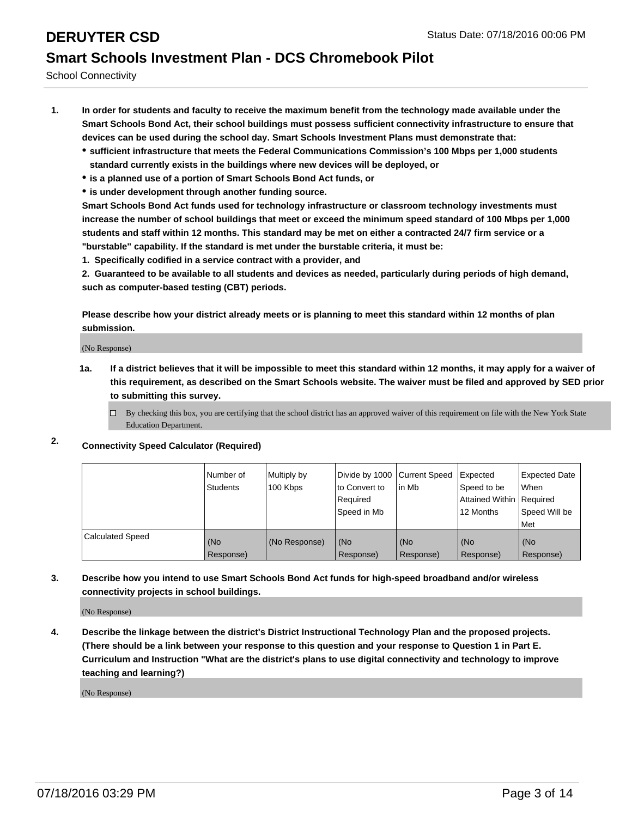School Connectivity

- **1. In order for students and faculty to receive the maximum benefit from the technology made available under the Smart Schools Bond Act, their school buildings must possess sufficient connectivity infrastructure to ensure that devices can be used during the school day. Smart Schools Investment Plans must demonstrate that:**
	- **sufficient infrastructure that meets the Federal Communications Commission's 100 Mbps per 1,000 students standard currently exists in the buildings where new devices will be deployed, or**
	- **is a planned use of a portion of Smart Schools Bond Act funds, or**
	- **is under development through another funding source.**

**Smart Schools Bond Act funds used for technology infrastructure or classroom technology investments must increase the number of school buildings that meet or exceed the minimum speed standard of 100 Mbps per 1,000 students and staff within 12 months. This standard may be met on either a contracted 24/7 firm service or a "burstable" capability. If the standard is met under the burstable criteria, it must be:**

**1. Specifically codified in a service contract with a provider, and**

**2. Guaranteed to be available to all students and devices as needed, particularly during periods of high demand, such as computer-based testing (CBT) periods.**

**Please describe how your district already meets or is planning to meet this standard within 12 months of plan submission.**

(No Response)

- **1a. If a district believes that it will be impossible to meet this standard within 12 months, it may apply for a waiver of this requirement, as described on the Smart Schools website. The waiver must be filed and approved by SED prior to submitting this survey.**
	- $\Box$  By checking this box, you are certifying that the school district has an approved waiver of this requirement on file with the New York State Education Department.
- **2. Connectivity Speed Calculator (Required)**

|                         | Number of<br>Students | Multiply by<br>100 Kbps | Divide by 1000 Current Speed<br>lto Convert to<br>Required<br>Speed in Mb | l in Mb          | Expected<br>Speed to be<br>Attained Within   Required<br>12 Months | <b>Expected Date</b><br><b>When</b><br>Speed Will be<br>l Met |
|-------------------------|-----------------------|-------------------------|---------------------------------------------------------------------------|------------------|--------------------------------------------------------------------|---------------------------------------------------------------|
| <b>Calculated Speed</b> | (No<br>Response)      | (No Response)           | (No<br>Response)                                                          | (No<br>Response) | (No<br>Response)                                                   | l (No<br>Response)                                            |

### **3. Describe how you intend to use Smart Schools Bond Act funds for high-speed broadband and/or wireless connectivity projects in school buildings.**

(No Response)

**4. Describe the linkage between the district's District Instructional Technology Plan and the proposed projects. (There should be a link between your response to this question and your response to Question 1 in Part E. Curriculum and Instruction "What are the district's plans to use digital connectivity and technology to improve teaching and learning?)**

(No Response)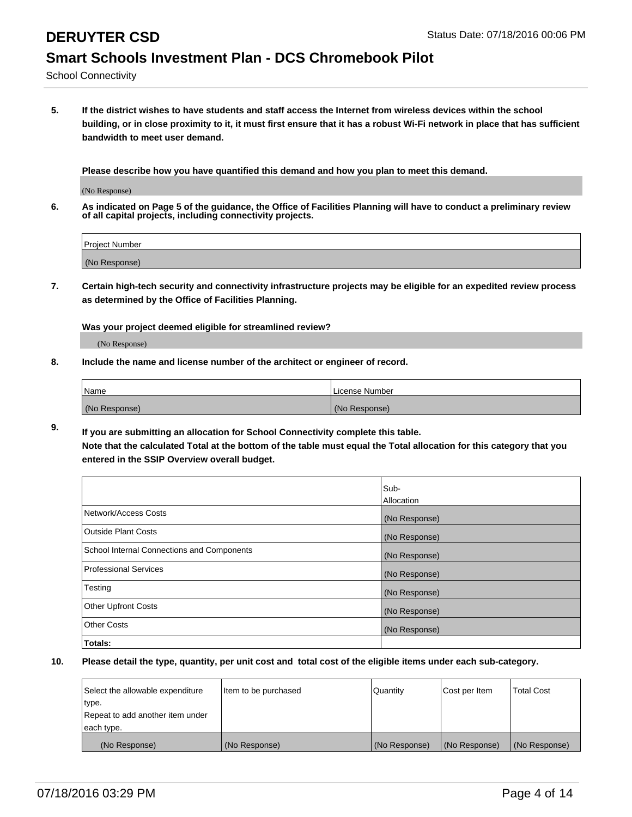School Connectivity

**5. If the district wishes to have students and staff access the Internet from wireless devices within the school building, or in close proximity to it, it must first ensure that it has a robust Wi-Fi network in place that has sufficient bandwidth to meet user demand.**

**Please describe how you have quantified this demand and how you plan to meet this demand.**

(No Response)

**6. As indicated on Page 5 of the guidance, the Office of Facilities Planning will have to conduct a preliminary review of all capital projects, including connectivity projects.**

| <b>Project Number</b> |  |
|-----------------------|--|
|                       |  |
| (No Response)         |  |

**7. Certain high-tech security and connectivity infrastructure projects may be eligible for an expedited review process as determined by the Office of Facilities Planning.**

**Was your project deemed eligible for streamlined review?**

(No Response)

**8. Include the name and license number of the architect or engineer of record.**

| <i>Name</i>   | License Number |
|---------------|----------------|
| (No Response) | (No Response)  |

**9. If you are submitting an allocation for School Connectivity complete this table. Note that the calculated Total at the bottom of the table must equal the Total allocation for this category that you entered in the SSIP Overview overall budget.** 

|                                            | Sub-<br><b>Allocation</b> |
|--------------------------------------------|---------------------------|
| Network/Access Costs                       | (No Response)             |
| Outside Plant Costs                        | (No Response)             |
| School Internal Connections and Components | (No Response)             |
| Professional Services                      | (No Response)             |
| Testing                                    | (No Response)             |
| <b>Other Upfront Costs</b>                 | (No Response)             |
| <b>Other Costs</b>                         | (No Response)             |
| Totals:                                    |                           |

| Select the allowable expenditure | litem to be purchased | Quantity      | Cost per Item | Total Cost    |
|----------------------------------|-----------------------|---------------|---------------|---------------|
| type.                            |                       |               |               |               |
| Repeat to add another item under |                       |               |               |               |
| each type.                       |                       |               |               |               |
| (No Response)                    | (No Response)         | (No Response) | (No Response) | (No Response) |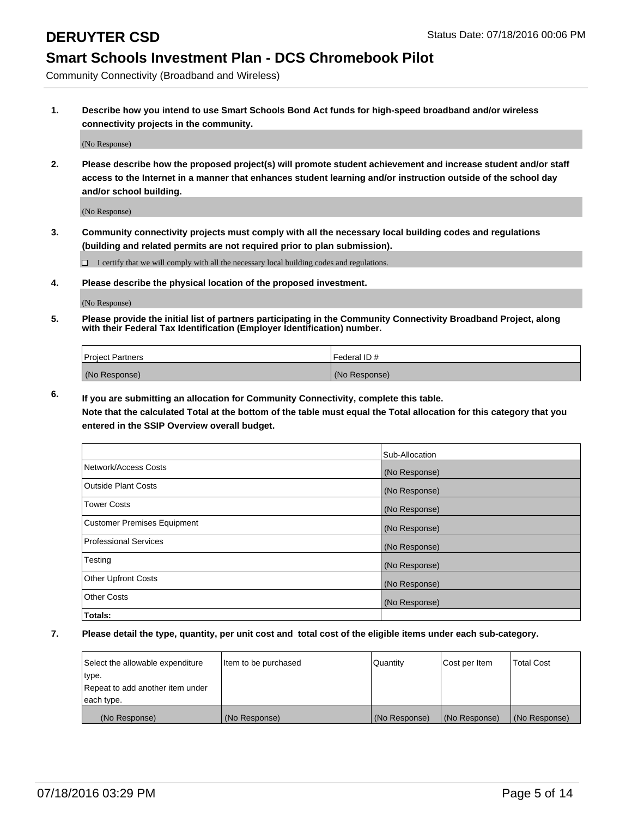Community Connectivity (Broadband and Wireless)

**1. Describe how you intend to use Smart Schools Bond Act funds for high-speed broadband and/or wireless connectivity projects in the community.**

(No Response)

**2. Please describe how the proposed project(s) will promote student achievement and increase student and/or staff access to the Internet in a manner that enhances student learning and/or instruction outside of the school day and/or school building.**

(No Response)

**3. Community connectivity projects must comply with all the necessary local building codes and regulations (building and related permits are not required prior to plan submission).**

 $\Box$  I certify that we will comply with all the necessary local building codes and regulations.

**4. Please describe the physical location of the proposed investment.**

(No Response)

**5. Please provide the initial list of partners participating in the Community Connectivity Broadband Project, along with their Federal Tax Identification (Employer Identification) number.**

| <b>Project Partners</b> | l Federal ID # |
|-------------------------|----------------|
| (No Response)           | (No Response)  |

**6. If you are submitting an allocation for Community Connectivity, complete this table.**

**Note that the calculated Total at the bottom of the table must equal the Total allocation for this category that you entered in the SSIP Overview overall budget.**

|                                    | Sub-Allocation |
|------------------------------------|----------------|
| Network/Access Costs               | (No Response)  |
| Outside Plant Costs                | (No Response)  |
| <b>Tower Costs</b>                 | (No Response)  |
| <b>Customer Premises Equipment</b> | (No Response)  |
| Professional Services              | (No Response)  |
| Testing                            | (No Response)  |
| <b>Other Upfront Costs</b>         | (No Response)  |
| Other Costs                        | (No Response)  |
| Totals:                            |                |

| Select the allowable expenditure | ltem to be purchased | Quantity      | Cost per Item | <b>Total Cost</b> |
|----------------------------------|----------------------|---------------|---------------|-------------------|
| ∣type.                           |                      |               |               |                   |
| Repeat to add another item under |                      |               |               |                   |
| each type.                       |                      |               |               |                   |
| (No Response)                    | (No Response)        | (No Response) | (No Response) | (No Response)     |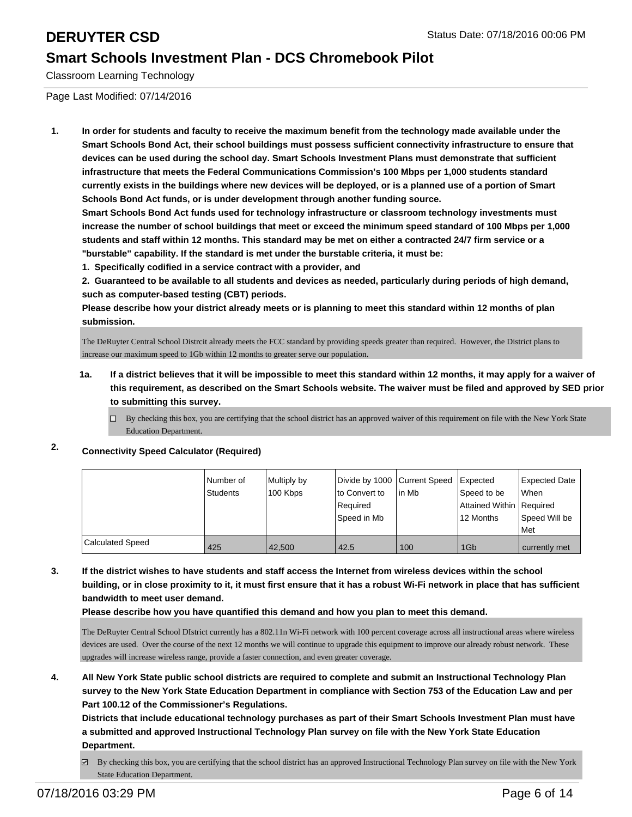Classroom Learning Technology

Page Last Modified: 07/14/2016

**1. In order for students and faculty to receive the maximum benefit from the technology made available under the Smart Schools Bond Act, their school buildings must possess sufficient connectivity infrastructure to ensure that devices can be used during the school day. Smart Schools Investment Plans must demonstrate that sufficient infrastructure that meets the Federal Communications Commission's 100 Mbps per 1,000 students standard currently exists in the buildings where new devices will be deployed, or is a planned use of a portion of Smart Schools Bond Act funds, or is under development through another funding source.**

**Smart Schools Bond Act funds used for technology infrastructure or classroom technology investments must increase the number of school buildings that meet or exceed the minimum speed standard of 100 Mbps per 1,000 students and staff within 12 months. This standard may be met on either a contracted 24/7 firm service or a "burstable" capability. If the standard is met under the burstable criteria, it must be:**

**1. Specifically codified in a service contract with a provider, and**

**2. Guaranteed to be available to all students and devices as needed, particularly during periods of high demand, such as computer-based testing (CBT) periods.**

**Please describe how your district already meets or is planning to meet this standard within 12 months of plan submission.**

The DeRuyter Central School Distrcit already meets the FCC standard by providing speeds greater than required. However, the District plans to increase our maximum speed to 1Gb within 12 months to greater serve our population.

- **1a. If a district believes that it will be impossible to meet this standard within 12 months, it may apply for a waiver of this requirement, as described on the Smart Schools website. The waiver must be filed and approved by SED prior to submitting this survey.**
	- $\Box$  By checking this box, you are certifying that the school district has an approved waiver of this requirement on file with the New York State Education Department.

### **2. Connectivity Speed Calculator (Required)**

|                         | Number of | Multiply by | Divide by 1000 Current Speed |         | <b>Expected</b>          | <b>Expected Date</b> |
|-------------------------|-----------|-------------|------------------------------|---------|--------------------------|----------------------|
|                         | Students  | 100 Kbps    | Ito Convert to               | l in Mb | Speed to be              | <b>When</b>          |
|                         |           |             | Required                     |         | Attained Within Required |                      |
|                         |           |             | Speed in Mb                  |         | 12 Months                | Speed Will be        |
|                         |           |             |                              |         |                          | <b>Met</b>           |
| <b>Calculated Speed</b> | 425       | 42.500      | 42.5                         | 100     | 1G <sub>b</sub>          | currently met        |

**3. If the district wishes to have students and staff access the Internet from wireless devices within the school building, or in close proximity to it, it must first ensure that it has a robust Wi-Fi network in place that has sufficient bandwidth to meet user demand.**

**Please describe how you have quantified this demand and how you plan to meet this demand.**

The DeRuyter Central School DIstrict currently has a 802.11n Wi-Fi network with 100 percent coverage across all instructional areas where wireless devices are used. Over the course of the next 12 months we will continue to upgrade this equipment to improve our already robust network. These upgrades will increase wireless range, provide a faster connection, and even greater coverage.

**4. All New York State public school districts are required to complete and submit an Instructional Technology Plan survey to the New York State Education Department in compliance with Section 753 of the Education Law and per Part 100.12 of the Commissioner's Regulations.**

**Districts that include educational technology purchases as part of their Smart Schools Investment Plan must have a submitted and approved Instructional Technology Plan survey on file with the New York State Education Department.**

 $\boxtimes$  By checking this box, you are certifying that the school district has an approved Instructional Technology Plan survey on file with the New York State Education Department.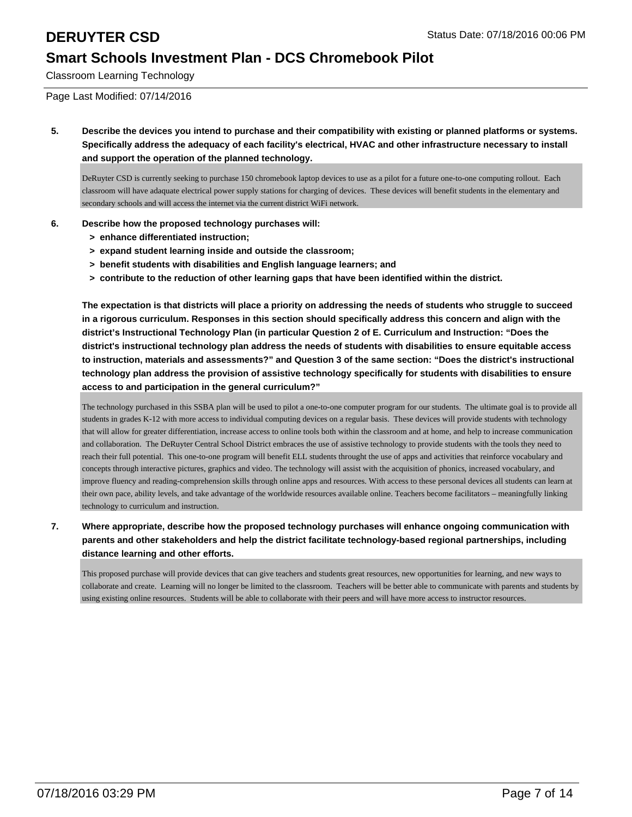Classroom Learning Technology

Page Last Modified: 07/14/2016

**5. Describe the devices you intend to purchase and their compatibility with existing or planned platforms or systems. Specifically address the adequacy of each facility's electrical, HVAC and other infrastructure necessary to install and support the operation of the planned technology.**

DeRuyter CSD is currently seeking to purchase 150 chromebook laptop devices to use as a pilot for a future one-to-one computing rollout. Each classroom will have adaquate electrical power supply stations for charging of devices. These devices will benefit students in the elementary and secondary schools and will access the internet via the current district WiFi network.

### **6. Describe how the proposed technology purchases will:**

- **> enhance differentiated instruction;**
- **> expand student learning inside and outside the classroom;**
- **> benefit students with disabilities and English language learners; and**
- **> contribute to the reduction of other learning gaps that have been identified within the district.**

**The expectation is that districts will place a priority on addressing the needs of students who struggle to succeed in a rigorous curriculum. Responses in this section should specifically address this concern and align with the district's Instructional Technology Plan (in particular Question 2 of E. Curriculum and Instruction: "Does the district's instructional technology plan address the needs of students with disabilities to ensure equitable access to instruction, materials and assessments?" and Question 3 of the same section: "Does the district's instructional technology plan address the provision of assistive technology specifically for students with disabilities to ensure access to and participation in the general curriculum?"**

The technology purchased in this SSBA plan will be used to pilot a one-to-one computer program for our students. The ultimate goal is to provide all students in grades K-12 with more access to individual computing devices on a regular basis. These devices will provide students with technology that will allow for greater differentiation, increase access to online tools both within the classroom and at home, and help to increase communication and collaboration. The DeRuyter Central School District embraces the use of assistive technology to provide students with the tools they need to reach their full potential. This one-to-one program will benefit ELL students throught the use of apps and activities that reinforce vocabulary and concepts through interactive pictures, graphics and video. The technology will assist with the acquisition of phonics, increased vocabulary, and improve fluency and reading-comprehension skills through online apps and resources. With access to these personal devices all students can learn at their own pace, ability levels, and take advantage of the worldwide resources available online. Teachers become facilitators – meaningfully linking technology to curriculum and instruction.

**7. Where appropriate, describe how the proposed technology purchases will enhance ongoing communication with parents and other stakeholders and help the district facilitate technology-based regional partnerships, including distance learning and other efforts.**

This proposed purchase will provide devices that can give teachers and students great resources, new opportunities for learning, and new ways to collaborate and create. Learning will no longer be limited to the classroom. Teachers will be better able to communicate with parents and students by using existing online resources. Students will be able to collaborate with their peers and will have more access to instructor resources.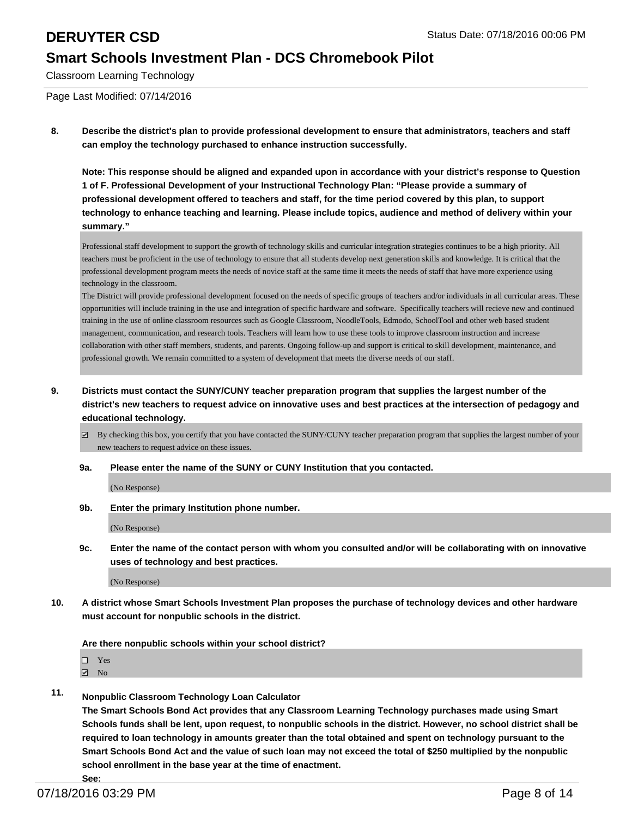Classroom Learning Technology

Page Last Modified: 07/14/2016

**8. Describe the district's plan to provide professional development to ensure that administrators, teachers and staff can employ the technology purchased to enhance instruction successfully.**

**Note: This response should be aligned and expanded upon in accordance with your district's response to Question 1 of F. Professional Development of your Instructional Technology Plan: "Please provide a summary of professional development offered to teachers and staff, for the time period covered by this plan, to support technology to enhance teaching and learning. Please include topics, audience and method of delivery within your summary."**

Professional staff development to support the growth of technology skills and curricular integration strategies continues to be a high priority. All teachers must be proficient in the use of technology to ensure that all students develop next generation skills and knowledge. It is critical that the professional development program meets the needs of novice staff at the same time it meets the needs of staff that have more experience using technology in the classroom.

The District will provide professional development focused on the needs of specific groups of teachers and/or individuals in all curricular areas. These opportunities will include training in the use and integration of specific hardware and software. Specifically teachers will recieve new and continued training in the use of online classroom resources such as Google Classroom, NoodleTools, Edmodo, SchoolTool and other web based student management, communication, and research tools. Teachers will learn how to use these tools to improve classroom instruction and increase collaboration with other staff members, students, and parents. Ongoing follow-up and support is critical to skill development, maintenance, and professional growth. We remain committed to a system of development that meets the diverse needs of our staff.

- **9. Districts must contact the SUNY/CUNY teacher preparation program that supplies the largest number of the district's new teachers to request advice on innovative uses and best practices at the intersection of pedagogy and educational technology.**
	- By checking this box, you certify that you have contacted the SUNY/CUNY teacher preparation program that supplies the largest number of your new teachers to request advice on these issues.

### **9a. Please enter the name of the SUNY or CUNY Institution that you contacted.**

(No Response)

**9b. Enter the primary Institution phone number.**

(No Response)

**9c. Enter the name of the contact person with whom you consulted and/or will be collaborating with on innovative uses of technology and best practices.**

(No Response)

**10. A district whose Smart Schools Investment Plan proposes the purchase of technology devices and other hardware must account for nonpublic schools in the district.**

**Are there nonpublic schools within your school district?**

 $\Box$  Yes

**No** 

**11. Nonpublic Classroom Technology Loan Calculator**

**The Smart Schools Bond Act provides that any Classroom Learning Technology purchases made using Smart Schools funds shall be lent, upon request, to nonpublic schools in the district. However, no school district shall be required to loan technology in amounts greater than the total obtained and spent on technology pursuant to the Smart Schools Bond Act and the value of such loan may not exceed the total of \$250 multiplied by the nonpublic school enrollment in the base year at the time of enactment.**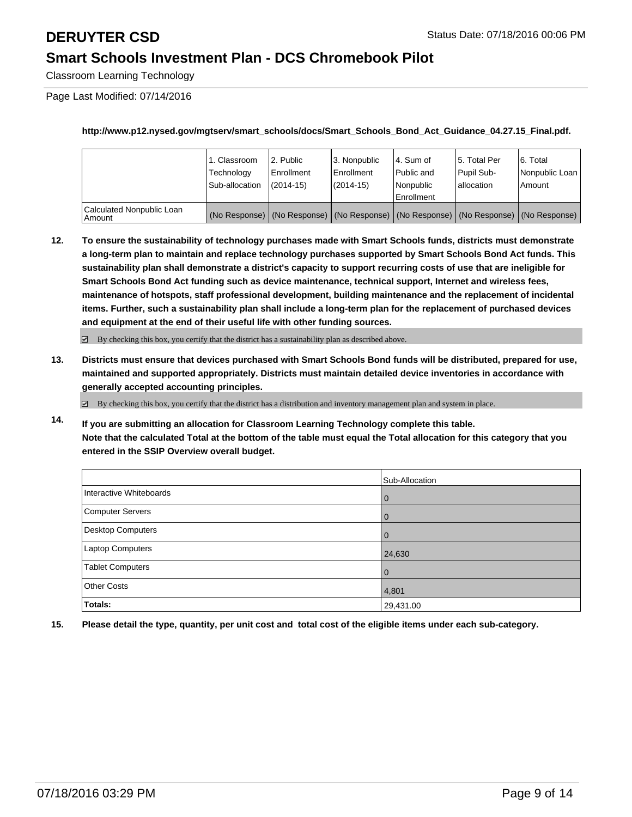Classroom Learning Technology

Page Last Modified: 07/14/2016

**http://www.p12.nysed.gov/mgtserv/smart\_schools/docs/Smart\_Schools\_Bond\_Act\_Guidance\_04.27.15\_Final.pdf.**

|                                       | 1. Classroom<br>Technoloav<br>Sub-allocation | 2. Public<br>l Enrollment<br>$(2014-15)$ | 3. Nonpublic<br><b>Enrollment</b><br>$(2014 - 15)$ | 4. Sum of<br>Public and<br>Nonpublic<br>Enrollment | 15. Total Per<br>Pupil Sub-<br>lallocation                                                    | 6. Total<br>Nonpublic Loan<br>Amount |
|---------------------------------------|----------------------------------------------|------------------------------------------|----------------------------------------------------|----------------------------------------------------|-----------------------------------------------------------------------------------------------|--------------------------------------|
| Calculated Nonpublic Loan<br>l Amount |                                              |                                          |                                                    |                                                    | (No Response)   (No Response)   (No Response)   (No Response)   (No Response)   (No Response) |                                      |

**12. To ensure the sustainability of technology purchases made with Smart Schools funds, districts must demonstrate a long-term plan to maintain and replace technology purchases supported by Smart Schools Bond Act funds. This sustainability plan shall demonstrate a district's capacity to support recurring costs of use that are ineligible for Smart Schools Bond Act funding such as device maintenance, technical support, Internet and wireless fees, maintenance of hotspots, staff professional development, building maintenance and the replacement of incidental items. Further, such a sustainability plan shall include a long-term plan for the replacement of purchased devices and equipment at the end of their useful life with other funding sources.**

 $\boxdot$  By checking this box, you certify that the district has a sustainability plan as described above.

**13. Districts must ensure that devices purchased with Smart Schools Bond funds will be distributed, prepared for use, maintained and supported appropriately. Districts must maintain detailed device inventories in accordance with generally accepted accounting principles.**

 $\boxdot$  By checking this box, you certify that the district has a distribution and inventory management plan and system in place.

**14. If you are submitting an allocation for Classroom Learning Technology complete this table. Note that the calculated Total at the bottom of the table must equal the Total allocation for this category that you entered in the SSIP Overview overall budget.**

|                         | Sub-Allocation |
|-------------------------|----------------|
| Interactive Whiteboards | $\mathbf 0$    |
| Computer Servers        | 0              |
| Desktop Computers       | $\mathbf{0}$   |
| Laptop Computers        | 24,630         |
| <b>Tablet Computers</b> | $\mathbf 0$    |
| Other Costs             | 4,801          |
| Totals:                 | 29,431.00      |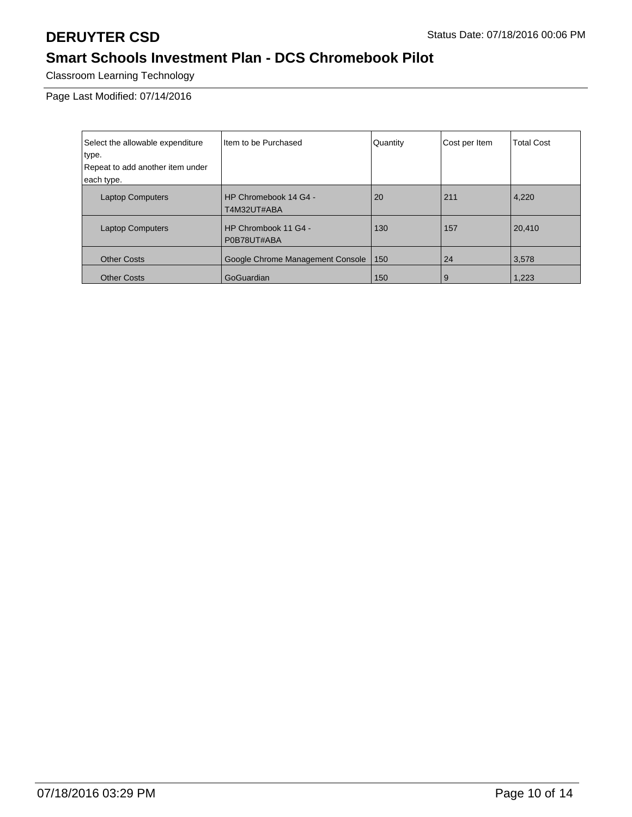Classroom Learning Technology

Page Last Modified: 07/14/2016

| Select the allowable expenditure | I Item to be Purchased               | Quantity | Cost per Item | <b>Total Cost</b> |
|----------------------------------|--------------------------------------|----------|---------------|-------------------|
| type.                            |                                      |          |               |                   |
| Repeat to add another item under |                                      |          |               |                   |
| each type.                       |                                      |          |               |                   |
| <b>Laptop Computers</b>          | HP Chromebook 14 G4 -<br>T4M32UT#ABA | 20       | 211           | 4,220             |
| <b>Laptop Computers</b>          | HP Chrombook 11 G4 -<br>P0B78UT#ABA  | 130      | 157           | 20,410            |
| <b>Other Costs</b>               | Google Chrome Management Console     | 150      | 24            | 3,578             |
| <b>Other Costs</b>               | GoGuardian                           | 150      | 9             | 1,223             |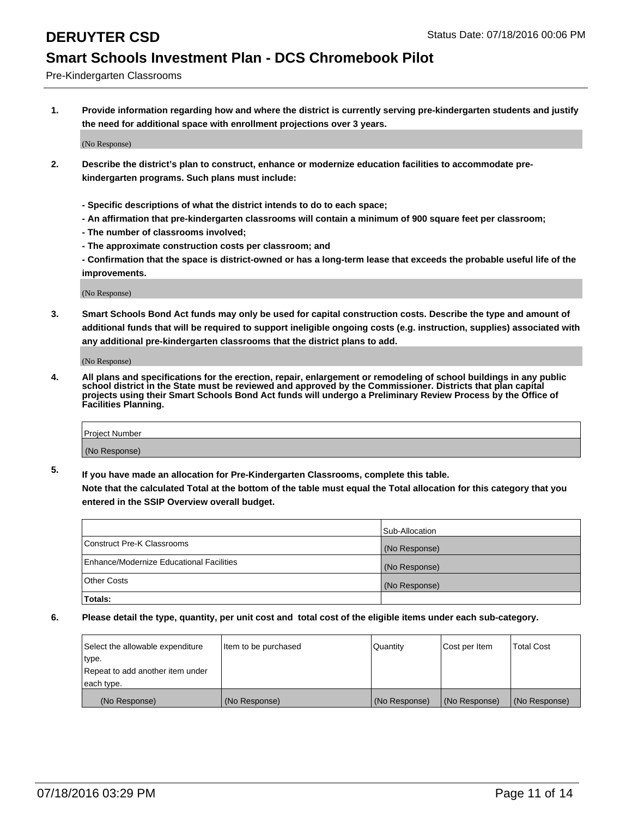Pre-Kindergarten Classrooms

**1. Provide information regarding how and where the district is currently serving pre-kindergarten students and justify the need for additional space with enrollment projections over 3 years.**

(No Response)

- **2. Describe the district's plan to construct, enhance or modernize education facilities to accommodate prekindergarten programs. Such plans must include:**
	- **Specific descriptions of what the district intends to do to each space;**
	- **An affirmation that pre-kindergarten classrooms will contain a minimum of 900 square feet per classroom;**
	- **The number of classrooms involved;**
	- **The approximate construction costs per classroom; and**
	- **Confirmation that the space is district-owned or has a long-term lease that exceeds the probable useful life of the improvements.**

(No Response)

**3. Smart Schools Bond Act funds may only be used for capital construction costs. Describe the type and amount of additional funds that will be required to support ineligible ongoing costs (e.g. instruction, supplies) associated with any additional pre-kindergarten classrooms that the district plans to add.**

(No Response)

**4. All plans and specifications for the erection, repair, enlargement or remodeling of school buildings in any public school district in the State must be reviewed and approved by the Commissioner. Districts that plan capital projects using their Smart Schools Bond Act funds will undergo a Preliminary Review Process by the Office of Facilities Planning.**

| Project Number |  |
|----------------|--|
| (No Response)  |  |

**5. If you have made an allocation for Pre-Kindergarten Classrooms, complete this table. Note that the calculated Total at the bottom of the table must equal the Total allocation for this category that you**

**entered in the SSIP Overview overall budget.**

|                                          | Sub-Allocation |
|------------------------------------------|----------------|
| Construct Pre-K Classrooms               | (No Response)  |
| Enhance/Modernize Educational Facilities | (No Response)  |
| Other Costs                              | (No Response)  |
| Totals:                                  |                |

| Select the allowable expenditure | Item to be purchased | Quantity      | Cost per Item | <b>Total Cost</b> |
|----------------------------------|----------------------|---------------|---------------|-------------------|
| type.                            |                      |               |               |                   |
| Repeat to add another item under |                      |               |               |                   |
| each type.                       |                      |               |               |                   |
| (No Response)                    | (No Response)        | (No Response) | (No Response) | (No Response)     |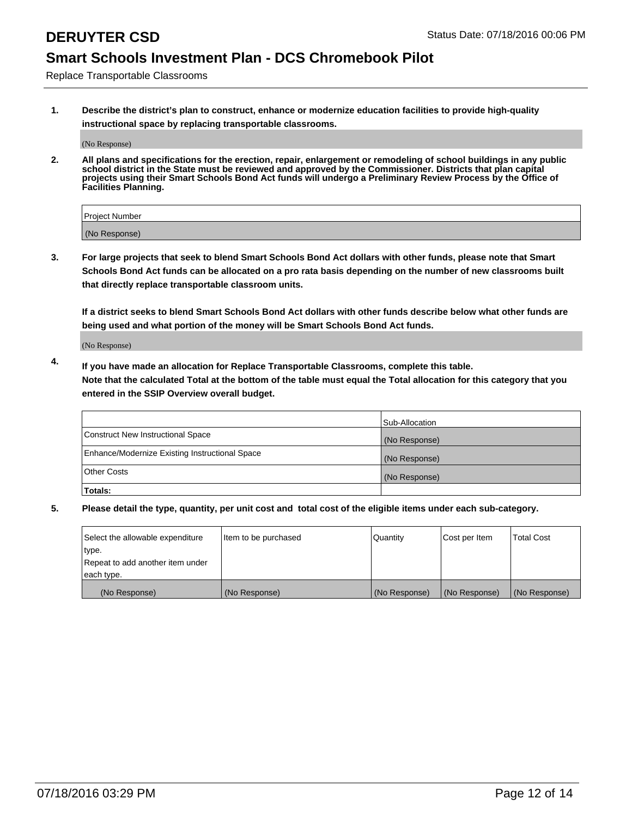Replace Transportable Classrooms

**1. Describe the district's plan to construct, enhance or modernize education facilities to provide high-quality instructional space by replacing transportable classrooms.**

(No Response)

**2. All plans and specifications for the erection, repair, enlargement or remodeling of school buildings in any public school district in the State must be reviewed and approved by the Commissioner. Districts that plan capital projects using their Smart Schools Bond Act funds will undergo a Preliminary Review Process by the Office of Facilities Planning.**

| Project Number |  |
|----------------|--|
| (No Response)  |  |

**3. For large projects that seek to blend Smart Schools Bond Act dollars with other funds, please note that Smart Schools Bond Act funds can be allocated on a pro rata basis depending on the number of new classrooms built that directly replace transportable classroom units.**

**If a district seeks to blend Smart Schools Bond Act dollars with other funds describe below what other funds are being used and what portion of the money will be Smart Schools Bond Act funds.**

(No Response)

**4. If you have made an allocation for Replace Transportable Classrooms, complete this table. Note that the calculated Total at the bottom of the table must equal the Total allocation for this category that you entered in the SSIP Overview overall budget.**

|                                                | Sub-Allocation |
|------------------------------------------------|----------------|
| Construct New Instructional Space              | (No Response)  |
| Enhance/Modernize Existing Instructional Space | (No Response)  |
| Other Costs                                    | (No Response)  |
| Totals:                                        |                |

| Select the allowable expenditure | Item to be purchased | Quantity      | Cost per Item | <b>Total Cost</b> |
|----------------------------------|----------------------|---------------|---------------|-------------------|
| type.                            |                      |               |               |                   |
| Repeat to add another item under |                      |               |               |                   |
| each type.                       |                      |               |               |                   |
| (No Response)                    | (No Response)        | (No Response) | (No Response) | (No Response)     |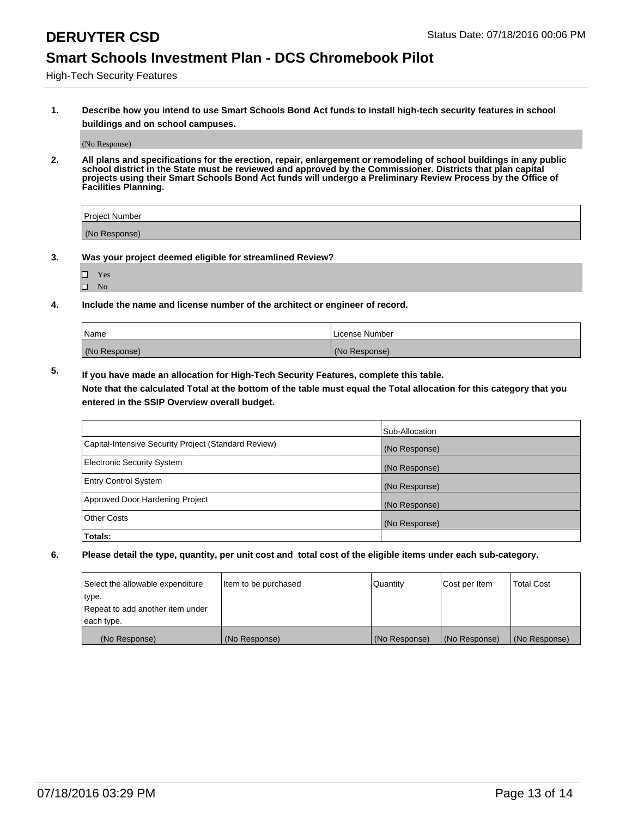High-Tech Security Features

**1. Describe how you intend to use Smart Schools Bond Act funds to install high-tech security features in school buildings and on school campuses.**

(No Response)

**2. All plans and specifications for the erection, repair, enlargement or remodeling of school buildings in any public school district in the State must be reviewed and approved by the Commissioner. Districts that plan capital projects using their Smart Schools Bond Act funds will undergo a Preliminary Review Process by the Office of Facilities Planning.** 

| Project Number |  |
|----------------|--|
| (No Response)  |  |

- **3. Was your project deemed eligible for streamlined Review?**
	- Yes
	- $\square$  No
- **4. Include the name and license number of the architect or engineer of record.**

| Name          | License Number |
|---------------|----------------|
| (No Response) | (No Response)  |

**5. If you have made an allocation for High-Tech Security Features, complete this table.**

**Note that the calculated Total at the bottom of the table must equal the Total allocation for this category that you entered in the SSIP Overview overall budget.**

|                                                      | Sub-Allocation |
|------------------------------------------------------|----------------|
| Capital-Intensive Security Project (Standard Review) | (No Response)  |
| <b>Electronic Security System</b>                    | (No Response)  |
| <b>Entry Control System</b>                          | (No Response)  |
| Approved Door Hardening Project                      | (No Response)  |
| <b>Other Costs</b>                                   | (No Response)  |
| Totals:                                              |                |

| Select the allowable expenditure | Item to be purchased | Quantity      | Cost per Item | <b>Total Cost</b> |
|----------------------------------|----------------------|---------------|---------------|-------------------|
| type.                            |                      |               |               |                   |
| Repeat to add another item under |                      |               |               |                   |
| each type.                       |                      |               |               |                   |
| (No Response)                    | (No Response)        | (No Response) | (No Response) | (No Response)     |